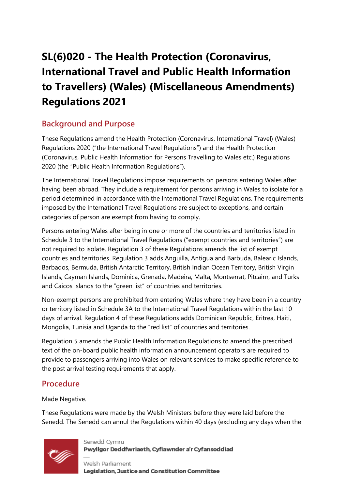# **SL(6)020 - The Health Protection (Coronavirus, International Travel and Public Health Information to Travellers) (Wales) (Miscellaneous Amendments) Regulations 2021**

## **Background and Purpose**

These Regulations amend the Health Protection (Coronavirus, International Travel) (Wales) Regulations 2020 ("the International Travel Regulations") and the Health Protection (Coronavirus, Public Health Information for Persons Travelling to Wales etc.) Regulations 2020 (the "Public Health Information Regulations").

The International Travel Regulations impose requirements on persons entering Wales after having been abroad. They include a requirement for persons arriving in Wales to isolate for a period determined in accordance with the International Travel Regulations. The requirements imposed by the International Travel Regulations are subject to exceptions, and certain categories of person are exempt from having to comply.

Persons entering Wales after being in one or more of the countries and territories listed in Schedule 3 to the International Travel Regulations ("exempt countries and territories") are not required to isolate. Regulation 3 of these Regulations amends the list of exempt countries and territories. Regulation 3 adds Anguilla, Antigua and Barbuda, Balearic Islands, Barbados, Bermuda, British Antarctic Territory, British Indian Ocean Territory, British Virgin Islands, Cayman Islands, Dominica, Grenada, Madeira, Malta, Montserrat, Pitcairn, and Turks and Caicos Islands to the "green list" of countries and territories.

Non-exempt persons are prohibited from entering Wales where they have been in a country or territory listed in Schedule 3A to the International Travel Regulations within the last 10 days of arrival. Regulation 4 of these Regulations adds Dominican Republic, Eritrea, Haiti, Mongolia, Tunisia and Uganda to the "red list" of countries and territories.

Regulation 5 amends the Public Health Information Regulations to amend the prescribed text of the on-board public health information announcement operators are required to provide to passengers arriving into Wales on relevant services to make specific reference to the post arrival testing requirements that apply.

## **Procedure**

Made Negative.

These Regulations were made by the Welsh Ministers before they were laid before the Senedd. The Senedd can annul the Regulations within 40 days (excluding any days when the



Senedd Cymru Pwyllgor Deddfwriaeth, Cyfiawnder a'r Cyfansoddiad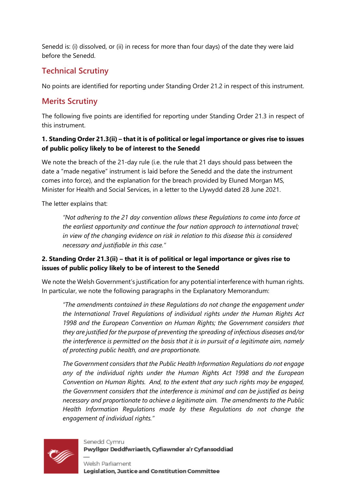Senedd is: (i) dissolved, or (ii) in recess for more than four days) of the date they were laid before the Senedd.

## **Technical Scrutiny**

No points are identified for reporting under Standing Order 21.2 in respect of this instrument.

## **Merits Scrutiny**

The following five points are identified for reporting under Standing Order 21.3 in respect of this instrument.

#### **1. Standing Order 21.3(ii) – that it is of political or legal importance or gives rise to issues of public policy likely to be of interest to the Senedd**

We note the breach of the 21-day rule (i.e. the rule that 21 days should pass between the date a "made negative" instrument is laid before the Senedd and the date the instrument comes into force), and the explanation for the breach provided by Eluned Morgan MS, Minister for Health and Social Services, in a letter to the Llywydd dated 28 June 2021.

The letter explains that:

*"Not adhering to the 21 day convention allows these Regulations to come into force at the earliest opportunity and continue the four nation approach to international travel; in view of the changing evidence on risk in relation to this disease this is considered necessary and justifiable in this case."*

#### **2. Standing Order 21.3(ii) – that it is of political or legal importance or gives rise to issues of public policy likely to be of interest to the Senedd**

We note the Welsh Government's justification for any potential interference with human rights. In particular, we note the following paragraphs in the Explanatory Memorandum:

*"The amendments contained in these Regulations do not change the engagement under the International Travel Regulations of individual rights under the Human Rights Act 1998 and the European Convention on Human Rights; the Government considers that they are justified for the purpose of preventing the spreading of infectious diseases and/or the interference is permitted on the basis that it is in pursuit of a legitimate aim, namely of protecting public health, and are proportionate.*

*The Government considers that the Public Health Information Regulations do not engage any of the individual rights under the Human Rights Act 1998 and the European Convention on Human Rights. And, to the extent that any such rights may be engaged, the Government considers that the interference is minimal and can be justified as being necessary and proportionate to achieve a legitimate aim. The amendments to the Public Health Information Regulations made by these Regulations do not change the engagement of individual rights."* 



Senedd Cymru Pwyllgor Deddfwriaeth, Cyfiawnder a'r Cyfansoddiad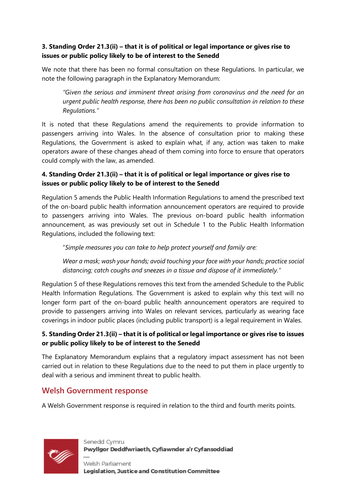#### **3. Standing Order 21.3(ii) – that it is of political or legal importance or gives rise to issues or public policy likely to be of interest to the Senedd**

We note that there has been no formal consultation on these Regulations. In particular, we note the following paragraph in the Explanatory Memorandum:

*"Given the serious and imminent threat arising from coronavirus and the need for an urgent public health response, there has been no public consultation in relation to these Regulations."*

It is noted that these Regulations amend the requirements to provide information to passengers arriving into Wales. In the absence of consultation prior to making these Regulations, the Government is asked to explain what, if any, action was taken to make operators aware of these changes ahead of them coming into force to ensure that operators could comply with the law, as amended.

#### **4. Standing Order 21.3(ii) – that it is of political or legal importance or gives rise to issues or public policy likely to be of interest to the Senedd**

Regulation 5 amends the Public Health Information Regulations to amend the prescribed text of the on-board public health information announcement operators are required to provide to passengers arriving into Wales. The previous on-board public health information announcement, as was previously set out in Schedule 1 to the Public Health Information Regulations, included the following text:

"*Simple measures you can take to help protect yourself and family are:*

*Wear a mask; wash your hands; avoid touching your face with your hands; practice social distancing; catch coughs and sneezes in a tissue and dispose of it immediately."*

Regulation 5 of these Regulations removes this text from the amended Schedule to the Public Health Information Regulations. The Government is asked to explain why this text will no longer form part of the on-board public health announcement operators are required to provide to passengers arriving into Wales on relevant services, particularly as wearing face coverings in indoor public places (including public transport) is a legal requirement in Wales.

#### **5. Standing Order 21.3(ii) – that it is of political or legal importance or gives rise to issues or public policy likely to be of interest to the Senedd**

The Explanatory Memorandum explains that a regulatory impact assessment has not been carried out in relation to these Regulations due to the need to put them in place urgently to deal with a serious and imminent threat to public health.

### **Welsh Government response**

A Welsh Government response is required in relation to the third and fourth merits points.



Senedd Cymru Pwyllgor Deddfwriaeth, Cyfiawnder a'r Cyfansoddiad